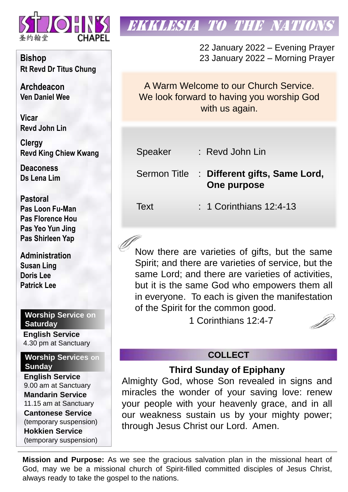

**Bishop Rt Revd Dr Titus Chung**

**Archdeacon Ven Daniel Wee**

**Vicar Revd John Lin** 

**Clergy Revd King Chiew Kwang**

**Deaconess Ds Lena Lim**

**Pastoral Pas Loon Fu-Man Pas Florence Hou Pas Yeo Yun Jing Pas Shirleen Yap**

**Administration Susan Ling Doris Lee Patrick Lee**

### **Worship Service on Saturday**

**English Service**  4.30 pm at Sanctuary

**Worship Services on Sunday**

**English Service** 9.00 am at Sanctuary **Mandarin Service** 11.15 am at Sanctuary **Cantonese Service** (temporary suspension) **Hokkien Service** (temporary suspension)

# **EKKLESIA TO THE NATION**

22 January 2022 – Evening Prayer 23 January 2022 – Morning Prayer

A Warm Welcome to our Church Service. We look forward to having you worship God with us again.

| Speaker | : Revd John Lin |
|---------|-----------------|
|---------|-----------------|

Sermon Title : **Different gifts, Same Lord, One purpose**

Text : 1 Corinthians 12:4-13

Now there are varieties of gifts, but the same Spirit; and there are varieties of service, but the same Lord; and there are varieties of activities, but it is the same God who empowers them all in everyone. To each is given the manifestation of the Spirit for the common good.

1 Corinthians 12:4-7

# **COLLECT**

## **Third Sunday of Epiphany**

Almighty God, whose Son revealed in signs and miracles the wonder of your saving love: renew your people with your heavenly grace, and in all our weakness sustain us by your mighty power; through Jesus Christ our Lord. Amen.

**Mission and Purpose:** As we see the gracious salvation plan in the missional heart of God, may we be a missional church of Spirit-filled committed disciples of Jesus Christ, always ready to take the gospel to the nations.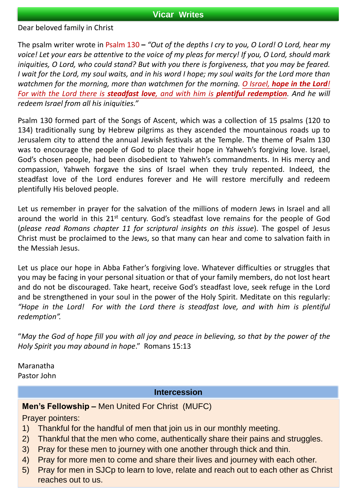#### **Vicar Writes**

Dear beloved family in Christ

The psalm writer wrote in Psalm 130 **–** *"Out of the depths I cry to you, O Lord! O Lord, hear my* voice! Let your ears be attentive to the voice of my pleas for mercy! If you, O Lord, should mark *iniquities, O Lord, who could stand? But with you there is forgiveness, that you may be feared.* I wait for the Lord, my soul waits, and in his word I hope; my soul waits for the Lord more than *watchmen for the morning, more than watchmen for the morning. O Israel, hope in the Lord!* For with the Lord there is steadfast love, and with him is plentiful redemption. And he will *redeem Israel from all his iniquities."*

Psalm 130 formed part of the Songs of Ascent, which was a collection of 15 psalms (120 to 134) traditionally sung by Hebrew pilgrims as they ascended the mountainous roads up to Jerusalem city to attend the annual Jewish festivals at the Temple. The theme of Psalm 130 was to encourage the people of God to place their hope in Yahweh's forgiving love. Israel, God's chosen people, had been disobedient to Yahweh's commandments. In His mercy and compassion, Yahweh forgave the sins of Israel when they truly repented. Indeed, the steadfast love of the Lord endures forever and He will restore mercifully and redeem plentifully His beloved people.

Let us remember in prayer for the salvation of the millions of modern Jews in Israel and all around the world in this 21<sup>st</sup> century. God's steadfast love remains for the people of God (*please read Romans chapter 11 for scriptural insights on this issue*). The gospel of Jesus Christ must be proclaimed to the Jews, so that many can hear and come to salvation faith in the Messiah Jesus.

Let us place our hope in Abba Father's forgiving love. Whatever difficulties or struggles that you may be facing in your personal situation or that of your family members, do not lost heart and do not be discouraged. Take heart, receive God's steadfast love, seek refuge in the Lord and be strengthened in your soul in the power of the Holy Spirit. Meditate on this regularly: *"Hope in the Lord! For with the Lord there is steadfast love, and with him is plentiful redemption".*

"May the God of hope fill you with all joy and peace in believing, so that by the power of the *Holy Spirit you may abound in hope*." Romans 15:13

Maranatha Pastor John

#### **Intercession**

**Men's Fellowship –** Men United For Christ (MUFC)

Prayer pointers:

- 1) Thankful for the handful of men that join us in our monthly meeting.
- 2) Thankful that the men who come, authentically share their pains and struggles.
- 3) Pray for these men to journey with one another through thick and thin.
- 4) Pray for more men to come and share their lives and journey with each other.
- 5) Pray for men in SJCp to learn to love, relate and reach out to each other as Christ reaches out to us.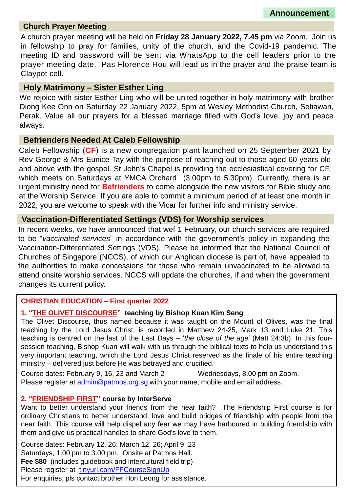#### **Church Prayer Meeting**

A church prayer meeting will be held on **Friday 28 January 2022, 7.45 pm** via Zoom. Join us in fellowship to pray for families, unity of the church, and the Covid-19 pandemic. The meeting ID and password will be sent via WhatsApp to the cell leaders prior to the prayer meeting date. Pas Florence Hou will lead us in the prayer and the praise team is Claypot cell.

#### **Holy Matrimony – Sister Esther Ling**

We rejoice with sister Esther Ling who will be united together in holy matrimony with brother Diong Kee Onn on Saturday 22 January 2022, 5pm at Wesley Methodist Church, Setiawan, Perak. Value all our prayers for a blessed marriage filled with God's love, joy and peace always.

#### **Befrienders Needed At Caleb Fellowship**

Caleb Fellowship (**CF**) is a new congregation plant launched on 25 September 2021 by Rev George & Mrs Eunice Tay with the purpose of reaching out to those aged 60 years old and above with the gospel. St John's Chapel is providing the ecclesiastical covering for CF, which meets on Saturdays at YMCA Orchard (3.00pm to 5.30pm). Currently, there is an urgent ministry need for **Befrienders** to come alongside the new visitors for Bible study and at the Worship Service. If you are able to commit a minimum period of at least one month in 2022, you are welcome to speak with the Vicar for further info and ministry service.

#### **Vaccination-Differentiated Settings (VDS) for Worship services**

In recent weeks, we have announced that wef 1 February, our church services are required to be "*vaccinated services*" in accordance with the government's policy in expanding the Vaccination-Differentiated Settings (VDS). Please be informed that the National Council of Churches of Singapore (NCCS), of which our Anglican diocese is part of, have appealed to the authorities to make concessions for those who remain unvaccinated to be allowed to attend onsite worship services. NCCS will update the churches, if and when the government changes its current policy.

#### **CHRISTIAN EDUCATION – First quarter 2022**

#### **1. "THE OLIVET DISCOURSE" teaching by Bishop Kuan Kim Seng**

The Olivet Discourse, thus named because it was taught on the Mount of Olives, was the final teaching by the Lord Jesus Christ, is recorded in Matthew 24-25, Mark 13 and Luke 21. This teaching is centred on the last of the Last Days – '*the close of the age*' (Matt 24:3b). In this foursession teaching, Bishop Kuan will walk with us through the biblical texts to help us understand this very important teaching, which the Lord Jesus Christ reserved as the finale of his entire teaching ministry – delivered just before He was betrayed and crucified.

Course dates: February 9, 16, 23 and March 2 Wednesdays, 8.00 pm on Zoom. Please register at [admin@patmos.org.sg](mailto:admin@patmos.org.sg) with your name, mobile and email address.

#### **2. "FRIENDSHIP FIRST" course by InterServe**

Want to better understand your friends from the near faith? The Friendship First course is for ordinary Christians to better understand, love and build bridges of friendship with people from the near faith. This course will help dispel any fear we may have harboured in building friendship with them and give us practical handles to share God's love to them.

Course dates: February 12, 26; March 12, 26; April 9, 23 Saturdays, 1.00 pm to 3.00 pm. Onsite at Patmos Hall. **Fee \$80** (includes guidebook and intercultural field trip) Please register at [tinyurl.com/FFCourseSignUp](http://tinyurl.com/FFCourseSignUp) For enquiries, pls contact brother Hon Leong for assistance.